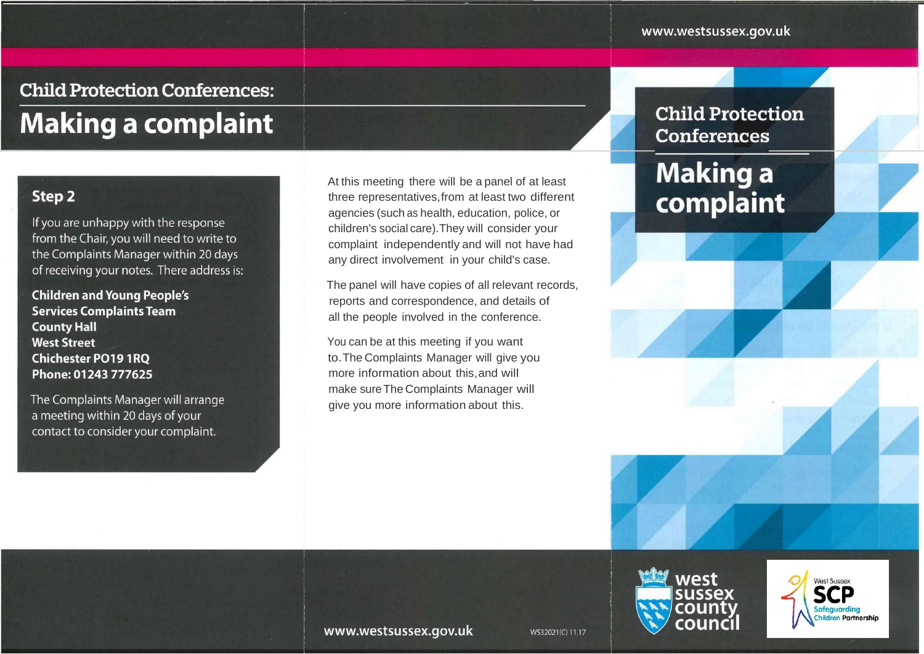## **Child Protection Conferences:**

# **Making a complaint**

### Step<sub>2</sub>

If you are unhappy with the response from the Chair, you will need to write to the Complaints Manager within 20 days of receiving your notes. There address is:

**Children and Young People's Services Complaints Team County Hall West Street Chichester PO19 1RO** Phone: 01243 777625

The Complaints Manager will arrange a meeting within 20 days of your contact to consider your complaint.

At this meeting there will be a panel of at least three representatives, from at least two different agencies (such as health, education, police, or children's social care). They will consider your complaint independently and will not have had any direct involvement in your child's case.

The panel will have copies of all relevant records, reports and correspondence, and details of all the people involved in the conference.

You can be at this meeting if you want to. The Complaints Manager will give you more information about this, and will make sure The Complaints Manager will give you more information about this.

### **Child Protection Conferences**

## **Making a** complaint





www.westsussex.gov.uk

WS32021(C) 11.17